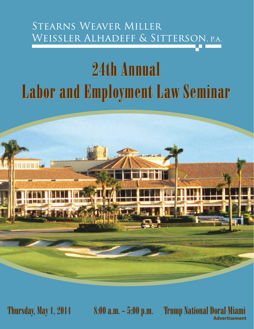# STEARNS WEAVER MILLER WEISSLER ALHADEFF & SITTERSON, P.A.

# 24th Annual Labor and Employment Law Seminar



Thursday, May 1, 2014 8:00 a.m. - 5:00 p.m. Trump National Doral Miami **Advertisement**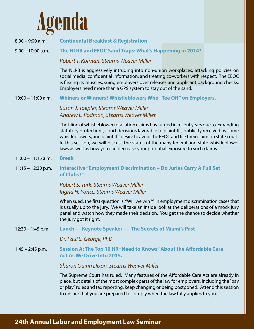

- 8:00 9:00 a.m. **Continental Breakfast & Registration**
- 9:00 10:00 a.m. **The NLRB and EEOC Sand Traps: What's Happening in 2014?**

*Robert T. Kofman, Stearns Weaver Miller*

The NLRB is aggressively intruding into non-union workplaces, attacking policies on social media, confidential information, and treating co-workers with respect. The EEOC is flexing its muscles, suing employers over releases and applicant background checks. Employers need more than a GPS system to stay out of the sand.

10:00 – 11:00 a.m. **Whiners or Winners? Whistleblowers Who "Tee Off" on Employers.**

*Susan J. Toepfer, Stearns Weaver Miller Andrew L. Rodman, Stearns Weaver Miller*

The filing of whistleblower retaliation claims has surged in recent years due to expanding statutory protections, court decisions favorable to plaintiffs, publicity received by some whistleblowers, and plaintiffs' desire to avoid the EEOC and file their claims in state court. In this session, we will discuss the status of the many federal and state whistleblower laws as well as how you can decrease your potential exposure to such claims.

- 11:00 11:15 a.m. **Break Break**
- 11:15 12:30 p.m. **Interactive "Employment Discrimination Do Juries Carry A Full Set of Clubs?"**

*Robert S. Turk, Stearns Weaver Miller Ingrid H. Ponce, Stearns Weaver Miller*

When sued, the first question is: "Will we win?" In employment discrimination cases that is usually up to the jury. We will take an inside look at the deliberations of a mock jury panel and watch how they made their decision. You get the chance to decide whether the jury got it right.

12:30 – 1:45 p.m. **Lunch — Keynote Speaker — The Secrets of Miami's Past**

*Dr. Paul S. George, PhD*

1:45 – 2:45 p.m. **Session A: The Top 10 HR "Need to Knows" About the Affordable Care Act As We Drive Into 2015.**

#### *Sharon Quinn Dixon, Stearns Weaver Miller*

The Supreme Court has ruled. Many features of the Affordable Care Act are already in place, but details of the most complex parts of the law for employers, including the "pay or play" rules and tax reporting, keep changing or being postponed. Attend this session to ensure that you are prepared to comply when the law fully applies to you.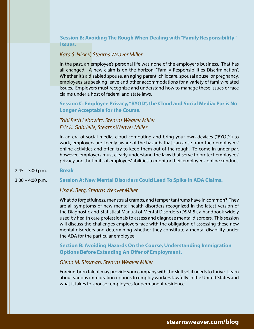**Session B: Avoiding The Rough When Dealing with "Family Responsibility" Issues.**

#### *Kara S. Nickel, Stearns Weaver Miller*

In the past, an employee's personal life was none of the employer's business. That has all changed. A new claim is on the horizon: "Family Responsibilities Discrimination". Whether it's a disabled spouse, an aging parent, childcare, spousal abuse, or pregnancy, employees are seeking leave and other accommodations for a variety of family-related issues. Employers must recognize and understand how to manage these issues or face claims under a host of federal and state laws.

**Session C: Employee Privacy, "BYOD", the Cloud and Social Media: Par is No Longer Acceptable for the Course.**

# *Tobi Beth Lebowitz, Stearns Weaver Miller Eric K. Gabrielle, Stearns Weaver Miller*

In an era of social media, cloud computing and bring your own devices ("BYOD") to work, employers are keenly aware of the hazards that can arise from their employees' online activities and often try to keep them out of the rough. To come in under par, however, employers must clearly understand the laws that serve to protect employees' privacy and the limits of employers' abilities to monitor their employees' online conduct.

2:45 – 3:00 p.m. **Break**

3:00 – 4:00 p.m. **Session A: New Mental Disorders Could Lead To Spike In ADA Claims.**

#### *Lisa K. Berg, Stearns Weaver Miller*

What do forgetfulness, menstrual cramps, and temper tantrums have in common? They are all symptoms of new mental health disorders recognized in the latest version of the Diagnostic and Statistical Manual of Mental Disorders (DSM-5), a handbook widely used by health care professionals to assess and diagnose mental disorders. This session will discuss the challenges employers face with the obligation of assessing these new mental disorders and determining whether they constitute a mental disability under the ADA for the particular employee.

**Section B: Avoiding Hazards On the Course, Understanding Immigration Options Before Extending An Offer of Employment.**

#### *Glenn M. Rissman, Stearns Weaver Miller*

Foreign-born talent may provide your company with the skill set it needs to thrive. Learn about various immigration options to employ workers lawfully in the United States and what it takes to sponsor employees for permanent residence.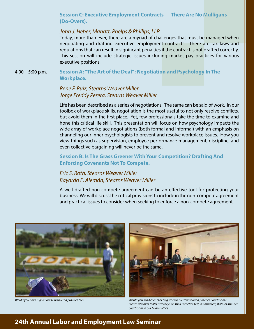#### **Session C: Executive Employment Contracts — There Are No Mulligans (Do-Overs).**

#### *John J. Heber, Manatt, Phelps & Phillips, LLP*

Today, more than ever, there are a myriad of challenges that must be managed when negotiating and drafting executive employment contracts. There are tax laws and regulations that can result in significant penalties if the contract is not drafted correctly. This session will include strategic issues including market pay practices for various executive positions.

4:00 – 5:00 p.m. **Session A: "The Art of the Deal": Negotiation and Psychology In The Workplace.**

# *Rene F. Ruiz, Stearns Weaver Miller Jorge Freddy Perera, Stearns Weaver Miller*

Life has been described as a series of negotiations. The same can be said of work. In our toolbox of workplace skills, negotiation is the most useful to not only resolve conflicts, but avoid them in the first place. Yet, few professionals take the time to examine and hone this critical life skill. This presentation will focus on how psychology impacts the wide array of workplace negotiations (both formal and informal) with an emphasis on channeling our inner psychologists to prevent and resolve workplace issues. How you view things such as supervision, employee performance management, discipline, and even collective bargaining will never be the same.

**Session B: Is The Grass Greener With Your Competition? Drafting And Enforcing Covenants Not To Compete.**

# *Eric S. Roth, Stearns Weaver Miller Bayardo E. Alemán, Stearns Weaver Miller*

A well drafted non-compete agreement can be an effective tool for protecting your business. We will discuss the critical provisions to include in the non-compete agreement and practical issues to consider when seeking to enforce a non-compete agreement.





*Would you have a golf course without a practice tee? Would you send clients or litigators to court without a practice courtroom? Stearns Weaver Miller attorneys on their "practice tee", a simulated, state-of-the-art courtroom in our Miami office.*

# **24th Annual Labor and Employment Law Seminar**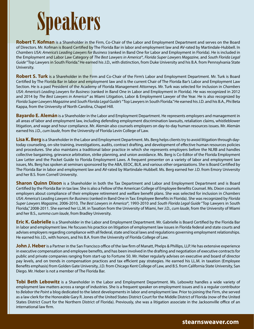

**Robert T. Kofman** is a Shareholder in the Firm, Co-Chair of the Labor and Employment Department and serves on the Board of Directors. Mr. Kofman is Board Certified by The Florida Bar in labor and employment law and AV-rated by Martindale-Hubbell. In *Chambers USA: America's Leading Lawyers for Business* (ranked in Band One for Labor and Employment in Florida). He is included in the Employment and Labor Law Category of *The Best Lawyers in America®*, *Florida Super Lawyers Magazine*, and *South Florida Legal Guide* "Top Lawyers in South Florida." He earned his J.D., with distinction, from Duke University and his B.A. from Pennsylvania State University.

**Robert S. Turk** is a Shareholder in the Firm and Co-Chair of the Firm's Labor and Employment Department. Mr. Turk is Board Certified by The Florida Bar in labor and employment law and is the current Chair of The Florida Bar's Labor and Employment Law Section. He is a past President of the Academy of Florida Management Attorneys. Mr. Turk was selected for inclusion in *Chambers USA: America's Leading Lawyers for Business* (ranked in Band One in Labor and Employment in Florida). He was recognized in 2012 and 2014 by *The Best Lawyers in America®* as Miami Litigation, Labor & Employment Lawyer of the Year. He is also recognized by *Florida Super Lawyers Magazine* and *South Florida Legal Guide's* "Top Lawyers in South Florida." He earned his J.D. and his B.A., Phi Beta Kappa, from the University of North Carolina, Chapel Hill.

**Bayardo E. Alemán** is a Shareholder in the Labor and Employment Department. He represents employers and management in all areas of labor and employment law, including defending employment discrimination lawsuits, retaliation claims, whistleblower litigation, and wage and hour compliance. Mr. Alemán also counsels employers on day-to-day human resources issues. Mr. Alemán earned his J.D., *cum laude*, from the University of Florida Levin College of Law.

**Lisa K. Berg** is a Shareholder in the Labor and Employment Department. Ms. Berg helps clients try to avoid litigation through daytoday counseling, on-site training, investigations, audits, contract drafting, and development of effective human resources policies and procedures. She also maintains a traditional labor practice in which she represents employers before the NLRB and handles collective bargaining, grievance arbitration, strike planning, and union avoidance. Ms. Berg is Co-Editor of the Florida Employment Law Letter and the Pocket Guide to Florida Employment Laws. A frequent presenter on a variety of labor and employment law issues, Ms. Berg has spoken at seminars sponsored by the ABA, EEOC, BLR, and various other organizations. She is Board Certified by The Florida Bar in labor and employment law and AV-rated by Martindale-Hubbell. Ms. Berg earned her J.D. from Emory University and her B.S. from Cornell University.

**Sharon Quinn Dixon** is a Shareholder in both the Tax Department and Labor and Employment Department and is Board Certified by the Florida Bar in tax law. She is also a Fellow of the American College of Employee Benefits Counsel. Ms. Dixon counsels employers about compliance of their employee retirement and welfare benefit plans. She was selected for inclusion in *Chambers USA: America's Leading Lawyers for Business* (ranked in Band One in Tax: Employee Benefits in Florida). She was recognized by *Florida Super Lawyers Magazine*, 2006-2010, *The Best Lawyers in America®*, 1993-2010 and *South Florida Legal Guide* "Top Lawyers in South Florida," 2008-2011. She earned her LL.M. in Taxation from the University of Miami, her J.D., *cum laude*, from the University of Miami and her B.S., *summa cum laude*, from Bradley University.

**Eric K. Gabrielle** is a Shareholder in the Labor and Employment Department. Mr. Gabrielle is Board Certified by the Florida Bar in labor and employment law. He focuses his practice on litigation of employment law issues in Florida federal and state courts and advises employers regarding compliance with all federal, state and local laws and regulations governing employment relationships. He earned his J.D., with honors, and his B.A. from the University of Florida College of Law.

John J. Heber is a Partner in the San Francisco office of the law firm of Manatt, Phelps & Phillips, LLP. He has extensive experience in executive compensation and employee benefits, and has been involved in the drafting and negotiation of executive contracts for public and private companies ranging from start-up to Fortune 50. Mr. Heber regularly advises on executive and board of director pay levels, and on trends in compensation practices and tax efficient pay strategies. He earned his LL.M. in taxation (Employee Benefits emphasis) from Golden Gate University, J.D. from Chicago Kent College of Law, and B.S. from California State University, San Diego. Mr. Heber is not a member of The Florida Bar.

**Tobi Beth Lebowitz** is a Shareholder in the Labor and Employment Department. Ms. Lebowitz handles a wide variety of employment law matters across a range of industries. She is a frequent speaker on employment issues and is a regular contributor to *Belabor the Point* a blog dedicated to the latest developments in labor and employment law. Prior to joining the Firm, she served as a law clerk for the Honorable Gary R. Jones of the United States District Court for the Middle District of Florida (now of the United States District Court for the Northern District of Florida). Previously, she was a litigation associate in the Jacksonville office of an international law firm.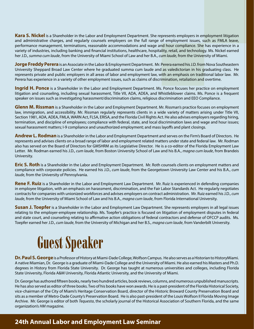**Kara S. Nickel** is a Shareholder in the Labor and Employment Department. She represents employers in employment litigation and administrative charges, and regularly counsels employers on the full range of employment issues, such as FMLA leave, performance management, terminations, reasonable accommodations and wage and hour compliance. She has experience in a variety of industries, including banking and financial institutions, healthcare, hospitality, retail, and technology. Ms. Nickel earned her J.D., *summa cum laude*, from the University of Miami School of Law and her B.A., *cum laude*, from the University of Miami.

**Jorge Freddy Perera** is an Associate in the Labor & Employment Department. Mr. Perera earned his J.D. from Nova Southeastern University Sheppard Broad Law Center where he graduated summa cum laude and as valedictorian in his graduating class. He represents private and public employers in all areas of labor and employment law, with an emphasis on traditional labor law. Mr. Perera has experience in a variety of other employment issues, such as claims of discrimination, retaliation and overtime.

**Ingrid H. Ponce** is a Shareholder in the Labor and Employment Department. Ms. Ponce focuses her practice on employment litigation and counseling, including sexual harassment, Title VII, ADA, ADEA, and Whistleblower claims. Ms. Ponce is a frequent speaker on issues such as investigating harassment/discrimination claims, religious discrimination and EEO Compliance.

**Glenn M. Rissman** is a Shareholder in the Labor and Employment Department. Mr. Rissman's practice focuses on employment law, immigration, and accessibility. Mr. Rissman regularly represents clients in a wide variety of matters arising under Title VII, Section 1981, ADA, ADEA, FMLA, WARN Act, FLSA, ERISA, and the Florida Civil Rights Act. He also advises employers regarding hiring, termination, and discipline of employees; compliance with federal, state, and local discrimination laws and wage and hour issues; sexual harassment matters; I-9 compliance and unauthorized employment; and mass layoffs and plant closings.

**Andrew L. Rodman** is a Shareholder in the Labor and Employment Department and serves on the Firm's Board of Directors. He represents and advises clients on a broad range of labor and employment related matters under state and federal law. Mr. Rodman also has served on the Board of Directors for GMSHRM as its Legislative Director. He is a co-editor of the Florida Employment Law Letter. Mr. Rodman earned his J.D., *cum laude*, from Boston University School of Law and his B.A., *magna cum laude*, from Brandeis University.

**Eric S. Roth** is a Shareholder in the Labor and Employment Department. Mr. Roth counsels clients on employment matters and compliance with corporate policies. He earned his J.D., *cum laude*, from the Georgetown University Law Center and his B.A., *cum laude*, from the University of Pennsylvania.

**Rene F. Ruiz** is a Shareholder in the Labor and Employment Law Department. Mr. Ruiz is experienced in defending companies in employee litigation, with an emphasis on harassment, discrimination, and the Fair Labor Standards Act. He regularly negotiates contracts for companies with unionized workforces and advises employers on contract administration. Mr. Ruiz earned his J.D., *cum laude*, from the University of Miami School of Law and his B.A., *magna cum laude*, from Florida International University.

**Susan J. Toepfer** is a Shareholder in the Labor and Employment Law Department. She represents employers in all legal issues relating to the employer-employee relationship. Ms. Toepfer's practice is focused on litigation of employment disputes in federal and state court, and counseling relating to affirmative action obligations of federal contractors and defense of OFCCP audits. Ms. Toepfer earned her J.D., *cum laude*, from the University of Michigan and her B.S., *magna cum laude*, from Vanderbilt University.



**Dr. Paul S. George** is a Professor of History at Miami-Dade College, Wolfson Campus. He also serves as a Historian to HistoryMiami. A native Miamian, Dr. George is a graduate of Miami-Dade College and the University of Miami. He also earned his Masters and Ph.D. degrees in History from Florida State University. Dr. George has taught at numerous universities and colleges, including Florida

State University, Florida A&M University, Florida Atlantic University, and the University of Miami.<br>Dr. George has authored fifteen books, nearly two hundred articles, book reviews, columns, and numerous unpublished manusc He has also served as editor of three books. Two of his books have won awards. He is a past-president of the Florida Historical Society, vice-chairman of the City of Miami's Heritage Conservation Board, director of the Historic Broward County Preservation Board and sits as a member of Metro-Dade County's Preservation Board. He is also past-president of the Louis Wolfson II Florida Moving Image Archive. Mr. George is editor of both *Tequesta*, the scholarly journal of the Historical Association of Southern Florida, and the same organization's *HM* magazine.

# **24th Annual Labor and Employment Law Seminar**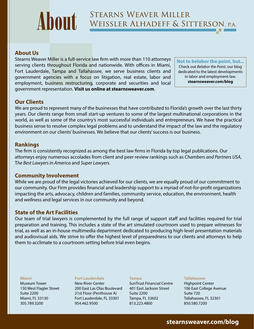# **STEARNS WEAVER MILLER** About WEISSLER ALHADEFF & SITTERSON, P.A.

# **About Us**

Stearns Weaver Miller is a full-service law firm with more than 110 attorneys serving clients throughout Florida and nationwide. With offices in Miami, Fort Lauderdale, Tampa and Tallahassee, we serve business clients and government agencies with a focus on litigation, real estate, labor and employment, business restructuring, corporate and securities and local government representation. **Visit us online at stearnsweaver.com**.

**Not to belabor the point, but...** Check out *Belabor the Point*, our blog dedicated to the latest developments in labor and employment law. **stearnsweaver.com/blog**

# **Our Clients**

We are proud to represent many of the businesses that have contributed to Florida's growth over the last thirty years. Our clients range from small start-up ventures to some of the largest multinational corporations in the world, as well as some of the country's most successful individuals and entrepreneurs. We have the practical business sense to resolve complex legal problems and to understand the impact of the law and the regulatory environment on our clients' businesses. We believe that our clients' success is our business.

#### **Rankings**

The firm is consistently recognized as among the best law firms in Florida by top legal publications. Our attorneys enjoy numerous accolades from client and peer review rankings such as *Chambers and Partners USA*, T*he Best Lawyers in America* and *Super Lawyers*.

#### **Community Involvement**

While we are proud of the legal victories achieved for our clients, we are equally proud of our commitment to our community. Our Firm provides financial and leadership support to a myriad of not-for-profit organizations impacting the arts, advocacy, children and families, community service, education, the environment, health and wellness and legal services in our community and beyond.

## **State of the Art Facilities**

Our team of trial lawyers is complemented by the full range of support staff and facilities required for trial preparation and training. This includes a state of the art simulated courtroom used to prepare witnesses for trial, as well as an in-house multimedia department dedicated to producing high-level presentation materials and audiovisual aids. We strive to offer the highest level of preparedness to our clients and attorneys to help them to acclimate to a courtroom setting before trial even begins.

#### **Miami**

Museum Tower 150 West Flagler Street Suite 2200 Miami, FL 33130 305.789.3200

#### **Fort Lauderdale**

New River Center 200 East Las Olas Boulevard 21st Floor (Penthouse A) Fort Lauderdale, FL 33301 954.462.9500

#### **Tampa**

SunTrust Financial Centre 401 East Jackson Street Suite 2200 Tampa, FL 33602 813.223.4800

#### **Tallahassee**

Highpoint Center 106 East College Avenue Suite 720 Tallahassee, FL 32301 850.580.7200

# **stearnsweaver.com/blog**